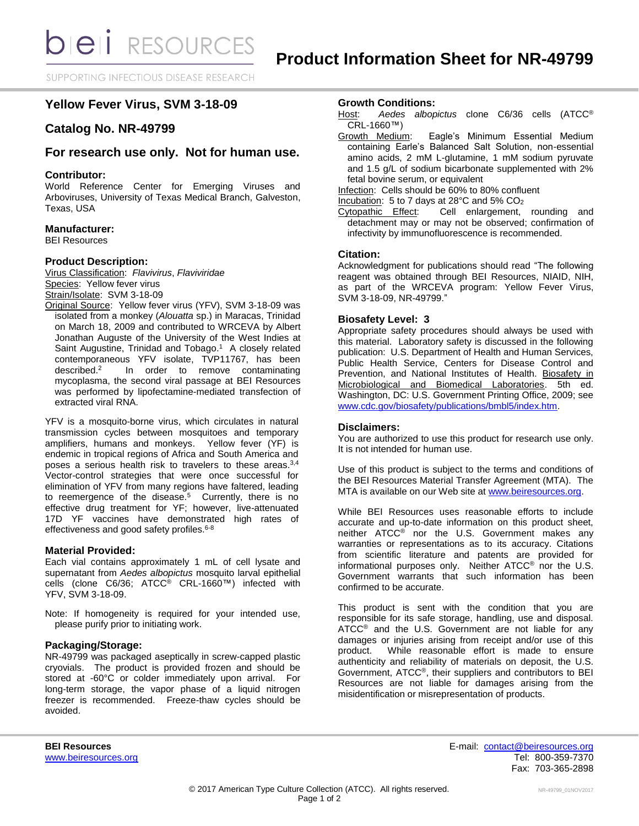SUPPORTING INFECTIOUS DISEASE RESEARCH

# **Yellow Fever Virus, SVM 3-18-09**

# **Catalog No. NR-49799**

## **For research use only. Not for human use.**

## **Contributor:**

World Reference Center for Emerging Viruses and Arboviruses, University of Texas Medical Branch, Galveston, Texas, USA

## **Manufacturer:**

BEI Resources

## **Product Description:**

Virus Classification: *Flavivirus*, *Flaviviridae* Species: Yellow fever virus Strain/Isolate: SVM 3-18-09

Original Source: Yellow fever virus (YFV), SVM 3-18-09 was isolated from a monkey (*Alouatta* sp.) in Maracas, Trinidad on March 18, 2009 and contributed to WRCEVA by Albert Jonathan Auguste of the University of the West Indies at Saint Augustine, Trinidad and Tobago.<sup>1</sup> A closely related contemporaneous YFV isolate, TVP11767, has been described.<sup>2</sup> In order to remove contaminating mycoplasma, the second viral passage at BEI Resources was performed by lipofectamine-mediated transfection of extracted viral RNA.

YFV is a mosquito-borne virus, which circulates in natural transmission cycles between mosquitoes and temporary amplifiers, humans and monkeys. Yellow fever (YF) is endemic in tropical regions of Africa and South America and poses a serious health risk to travelers to these areas.<sup>3,4</sup> Vector-control strategies that were once successful for elimination of YFV from many regions have faltered, leading to reemergence of the disease.<sup>5</sup> Currently, there is no effective drug treatment for YF; however, live-attenuated 17D YF vaccines have demonstrated high rates of effectiveness and good safety profiles.<sup>6-8</sup>

## **Material Provided:**

Each vial contains approximately 1 mL of cell lysate and supernatant from *Aedes albopictus* mosquito larval epithelial cells (clone C6/36; ATCC® CRL-1660™) infected with YFV, SVM 3-18-09.

Note: If homogeneity is required for your intended use, please purify prior to initiating work.

## **Packaging/Storage:**

NR-49799 was packaged aseptically in screw-capped plastic cryovials. The product is provided frozen and should be stored at -60°C or colder immediately upon arrival. For long-term storage, the vapor phase of a liquid nitrogen freezer is recommended. Freeze-thaw cycles should be avoided.

### **Growth Conditions:**

Host: *Aedes albopictus* clone C6/36 cells (ATCC® CRL-1660™)

Growth Medium: Eagle's Minimum Essential Medium containing Earle's Balanced Salt Solution, non-essential amino acids, 2 mM L-glutamine, 1 mM sodium pyruvate and 1.5 g/L of sodium bicarbonate supplemented with 2% fetal bovine serum, or equivalent

Infection: Cells should be 60% to 80% confluent

Incubation: 5 to 7 days at 28 $^{\circ}$ C and 5% CO<sub>2</sub>

Cytopathic Effect: Cell enlargement, rounding and detachment may or may not be observed; confirmation of infectivity by immunofluorescence is recommended.

#### **Citation:**

Acknowledgment for publications should read "The following reagent was obtained through BEI Resources, NIAID, NIH, as part of the WRCEVA program: Yellow Fever Virus, SVM 3-18-09, NR-49799."

## **Biosafety Level: 3**

Appropriate safety procedures should always be used with this material. Laboratory safety is discussed in the following publication: U.S. Department of Health and Human Services, Public Health Service, Centers for Disease Control and Prevention, and National Institutes of Health. Biosafety in Microbiological and Biomedical Laboratories. 5th ed. Washington, DC: U.S. Government Printing Office, 2009; see [www.cdc.gov/biosafety/publications/bmbl5/index.htm.](http://www.cdc.gov/biosafety/publications/bmbl5/index.htm)

#### **Disclaimers:**

You are authorized to use this product for research use only. It is not intended for human use.

Use of this product is subject to the terms and conditions of the BEI Resources Material Transfer Agreement (MTA). The MTA is available on our Web site at [www.beiresources.org.](http://www.beiresources.org/)

While BEI Resources uses reasonable efforts to include accurate and up-to-date information on this product sheet, neither ATCC<sup>®</sup> nor the U.S. Government makes any warranties or representations as to its accuracy. Citations from scientific literature and patents are provided for informational purposes only. Neither ATCC® nor the U.S. Government warrants that such information has been confirmed to be accurate.

This product is sent with the condition that you are responsible for its safe storage, handling, use and disposal. ATCC<sup>®</sup> and the U.S. Government are not liable for any damages or injuries arising from receipt and/or use of this product. While reasonable effort is made to ensure authenticity and reliability of materials on deposit, the U.S. Government, ATCC®, their suppliers and contributors to BEI Resources are not liable for damages arising from the misidentification or misrepresentation of products.

**BEI Resources** E-mail: [contact@beiresources.org](mailto:contact@beiresources.org) [www.beiresources.org](http://www.beiresources.org/) **Tel: 800-359-7370** Fax: 703-365-2898